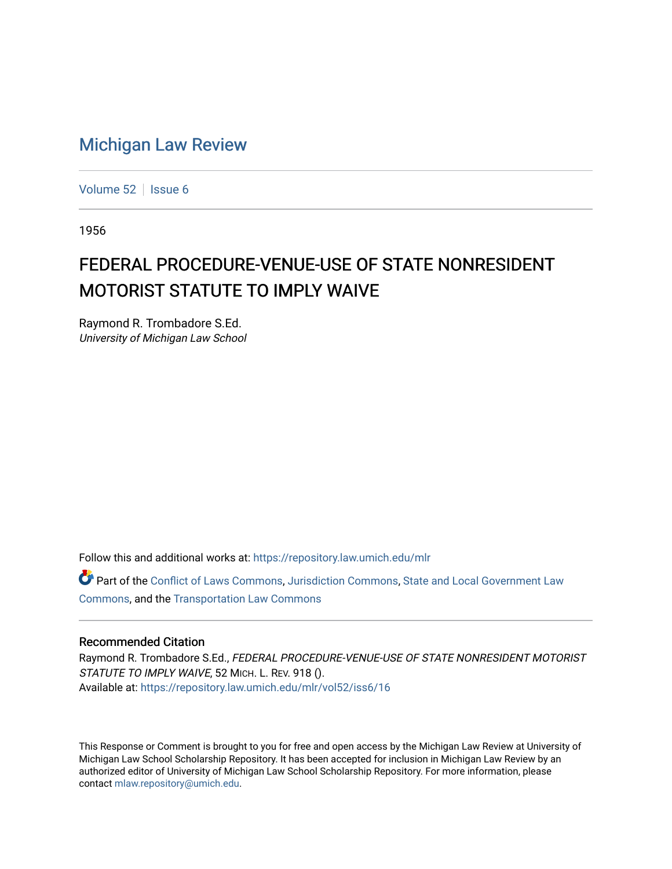## [Michigan Law Review](https://repository.law.umich.edu/mlr)

[Volume 52](https://repository.law.umich.edu/mlr/vol52) | [Issue 6](https://repository.law.umich.edu/mlr/vol52/iss6)

1956

## FEDERAL PROCEDURE-VENUE-USE OF STATE NONRESIDENT MOTORIST STATUTE TO IMPLY WAIVE

Raymond R. Trombadore S.Ed. University of Michigan Law School

Follow this and additional works at: [https://repository.law.umich.edu/mlr](https://repository.law.umich.edu/mlr?utm_source=repository.law.umich.edu%2Fmlr%2Fvol52%2Fiss6%2F16&utm_medium=PDF&utm_campaign=PDFCoverPages) 

Part of the [Conflict of Laws Commons,](http://network.bepress.com/hgg/discipline/588?utm_source=repository.law.umich.edu%2Fmlr%2Fvol52%2Fiss6%2F16&utm_medium=PDF&utm_campaign=PDFCoverPages) [Jurisdiction Commons](http://network.bepress.com/hgg/discipline/850?utm_source=repository.law.umich.edu%2Fmlr%2Fvol52%2Fiss6%2F16&utm_medium=PDF&utm_campaign=PDFCoverPages), [State and Local Government Law](http://network.bepress.com/hgg/discipline/879?utm_source=repository.law.umich.edu%2Fmlr%2Fvol52%2Fiss6%2F16&utm_medium=PDF&utm_campaign=PDFCoverPages)  [Commons](http://network.bepress.com/hgg/discipline/879?utm_source=repository.law.umich.edu%2Fmlr%2Fvol52%2Fiss6%2F16&utm_medium=PDF&utm_campaign=PDFCoverPages), and the [Transportation Law Commons](http://network.bepress.com/hgg/discipline/885?utm_source=repository.law.umich.edu%2Fmlr%2Fvol52%2Fiss6%2F16&utm_medium=PDF&utm_campaign=PDFCoverPages) 

## Recommended Citation

Raymond R. Trombadore S.Ed., FEDERAL PROCEDURE-VENUE-USE OF STATE NONRESIDENT MOTORIST STATUTE TO IMPLY WAIVE, 52 MICH. L. REV. 918 (). Available at: [https://repository.law.umich.edu/mlr/vol52/iss6/16](https://repository.law.umich.edu/mlr/vol52/iss6/16?utm_source=repository.law.umich.edu%2Fmlr%2Fvol52%2Fiss6%2F16&utm_medium=PDF&utm_campaign=PDFCoverPages) 

This Response or Comment is brought to you for free and open access by the Michigan Law Review at University of Michigan Law School Scholarship Repository. It has been accepted for inclusion in Michigan Law Review by an authorized editor of University of Michigan Law School Scholarship Repository. For more information, please contact [mlaw.repository@umich.edu](mailto:mlaw.repository@umich.edu).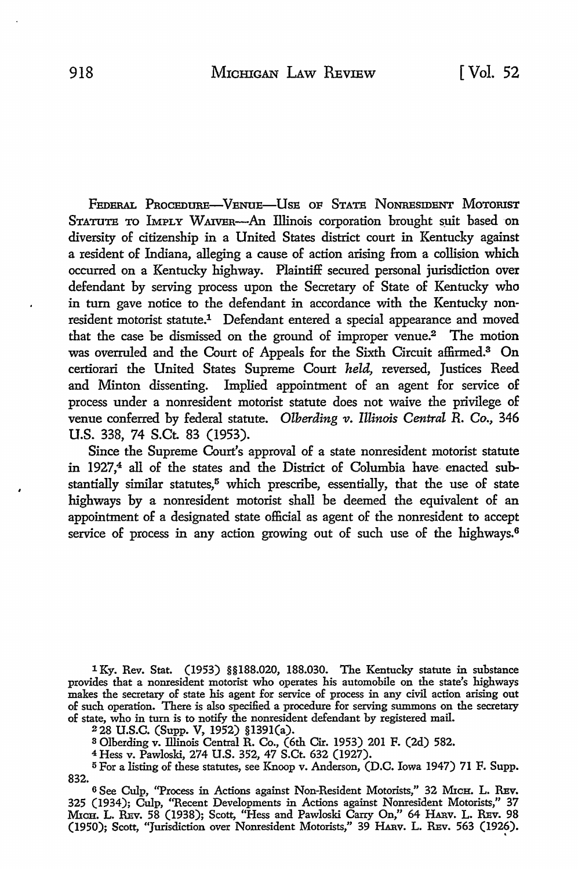FEDERAL PROCEDURE-VENUE-USE OF STATE NONRESIDENT MOTORIST STATUTE To IMPLY WAIVER-An Illinois corporation brought suit based on diversity of citizenship in a United States district court in Kentucky against a resident of Indiana, alleging a cause of action arising from a collision which occurred on a Kentucky highway. Plaintiff secured personal jurisdiction over defendant by serving process upon the Secretary of State of Kentucky who in tum gave notice to the defendant in accordance with the Kentucky nonresident motorist statute.1 Defendant entered a special appearance and moved that the case be dismissed on the ground of improper venue.<sup>2</sup> The motion was overruled and the Court of Appeals for the Sixth Circuit affirmed.3 On certiorari the United States Supreme Court *held,* reversed, Justices Reed and Minton dissenting. Implied appointment of an agent for service of process under a nonresident motorist statute does not waive the privilege of venue conferred by federal statute. Olberding v. Illinois Central R. Co., 346 U.S. 338, 74 S.Ct. 83 (1953).

Since the Supreme Court's approval of a state nonresident motorist statute in 1927,<sup>4</sup> all of the states and the District of Columbia have enacted substantially similar statutes,<sup>5</sup> which prescribe, essentially, that the use of state highways by a nonresident motorist shall be deemed the equivalent of an appointment of a designated state official as agent of the nonresident to accept service of process in any action growing out of such use of the highways.<sup>6</sup>

1 Ky. Rev. Stat. (1953) §§188.020, 188.030. The Kentucky statute in substance provides that a nonresident motorist who operates his automobile on the state's highways makes the secretary of state his agent for service of process in any civil action arising out of such operation. There is also specified a procedure for serving summons on the secretary of state, who in tum is to notify the nonresident defendant by registered mail.

228 U.S.C. (Supp. V, 1952) §l391(a).

a Olberding v. Illinois Central R. Co., (6th Cir. 1953) 201 F. (2d) 582.

<sup>4</sup>Hess v. Pawloski, 274 U.S. 352, 47 S.Ct. 632 (1927).

<sup>5</sup>For a listing of these statutes, see Knoop v. Anderson, (D.C. Iowa 1947) 71 F. Supp. 832.

6 See Culp, "Process in Actions against Non-Resident Motorists," 32 MICH. L. REV. 325 (1934); Culp, ''Recent Developments in Actions against Nonresident Motorists," 37 MrcH. L. REv. 58 (1938); Scott, "Hess and Pawloski Carry On," 64 HARv. L. REv. 98 (1950); Scott, "Jurisdiction over Nonresident Motorists," 39 HARv. L. REv. 563 (1926).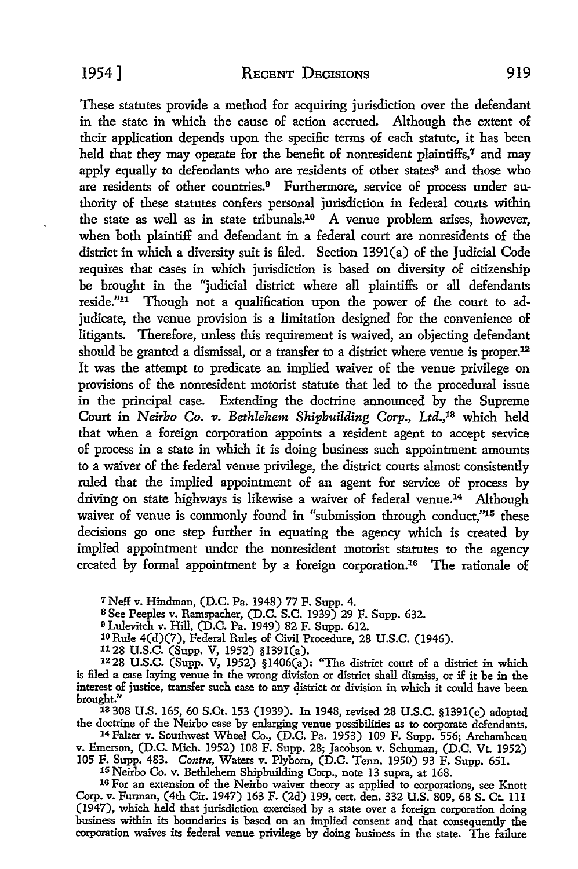These statutes provide a method for acquiring jurisdiction over the defendant in the state in which the cause of action accrued. Although the extent of their application depends upon the specific terms of each statute, it has been held that they may operate for the benefit of nonresident plaintiffs,<sup>7</sup> and may apply equally to defendants who are residents of other states<sup>8</sup> and those who are residents of other countries.<sup>9</sup> Furthermore, service of process under authority of these statutes confers personal jurisdiction in federal courts within the state as well as in state tribunals.10 A venue problem arises, however, when both plaintiff and defendant in a federal court are nonresidents of the district in which a diversity suit is filed. Section 139l(a) of the Judicial Code requires that cases in which jurisdiction is based on diversity of citizenship be brought in the "judicial district where all plaintiffs or all defendants reside."11 Though not a qualification upon the power of the court to adjudicate, the venue provision is a limitation designed for the convenience of litigants. Therefore, unless this requirement is waived, an objecting defendant should be granted a dismissal, or a transfer to a district where venue is proper.<sup>12</sup> It was the attempt to predicate an implied waiver of the venue privilege on provisions of the nonresident motorist statute that led to the procedural issue in the principal case. Extending the doctrine announced by the Supreme Court in *Neirbo Co. v. Bethlehem Shipbuilding Corp.,* Ltd.,13 which held that when a foreign corporation appoints a resident agent to accept service of process **in** a state in which it is doing business such appointment amounts to a waiver of the federal venue privilege, the district courts almost consistently ruled that the implied appointment of an agent for service of process **by**  driving on state highways is likewise a waiver of federal venue.<sup>14</sup> Although waiver of venue is commonly found in "submission through conduct,"<sup>15</sup> these decisions go one step further in equating the agency which is created by implied appointment under the nonresident motorist statutes to the agency created by formal appointment by a foreign corporation.16 The rationale of

*<sup>1</sup>*Neff v. Hindman, (D.C. Pa. 1948) 77 F. Supp. 4.

8 See Peeples v. Ramspacher, (D.C. S.C. 1939) 29 F. Supp. 632.

<sup>9</sup>Lulevitch v. Hill, (D.C. Pa. 1949) 82 F. Supp. 612.

<sup>10</sup> Rule 4(d)(7), Federal Rules of Civil Procedure, 28 U.S.C. (1946).

1128 U.S.C. (Supp. V, 1952) §l39l(a).

 $1228$  U.S.C. (Supp. V, 1952) §1406(a): "The district court of a district in which is filed a case laying venue in the wrong division or district shall dismiss, or if it be in the interest of justice, transfer such case to any district or division in which it could have been brought."

1s 308 U.S. 165, 60 S.Ct. 153 (1939). In 1948, revised 28 U.S.C. §l39l(c) adopted the doctrine of the Neirbo case by enlarging venue possibilities as to corporate defendants. 14 Falter v. Southwest Wheel Co., (D.C. Pa. 1953) 109 F. Supp. 556; Archambeau

v. Emerson, (D.C. Mich. 1952) 108 F. Supp. 28; Jacobson v. Schuman, (D.C. Vt. 1952)

105 F. Supp. 483. *Contra,* Waters v. Plybom, (D.C. Tenn. 1950) 93 F. Supp. 651. 15 Neirbo Co. v. Bethlehem Shipbuilding Corp., note 13 supra, at 168.

16 For an extension of the Neirbo waiver theory as applied to corporations, see Knott Corp. v. Furman, (4th Cir. 1947) 163 F. (2d) 199, cert. den. 332 U.S. 809, 68 S. Ct. Ill (1947), which held that jurisdiction exercised by a state over a foreign corporation doing business within its boundaries is based on an implied consent and that consequently the corporation waives its federal venue privilege by doing business in the state. The failure